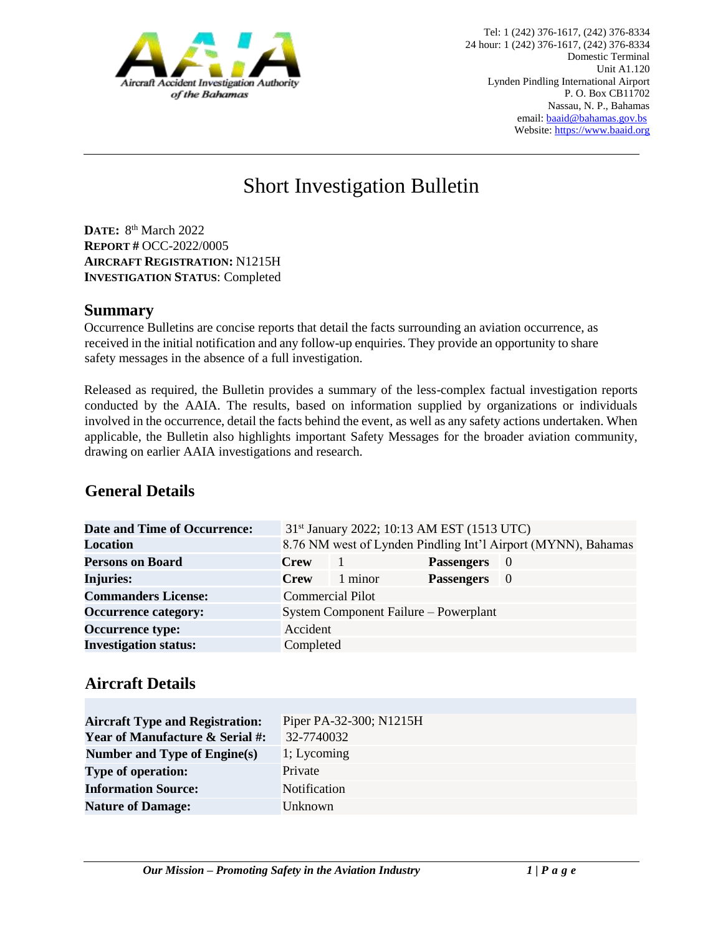

# Short Investigation Bulletin

**DATE:** 8 th March 2022 **REPORT #** OCC-2022/0005 **AIRCRAFT REGISTRATION:** N1215H **INVESTIGATION STATUS**: Completed

#### **Summary**

Occurrence Bulletins are concise reports that detail the facts surrounding an aviation occurrence, as received in the initial notification and any follow-up enquiries. They provide an opportunity to share safety messages in the absence of a full investigation*.* 

Released as required, the Bulletin provides a summary of the less-complex factual investigation reports conducted by the AAIA. The results, based on information supplied by organizations or individuals involved in the occurrence, detail the facts behind the event, as well as any safety actions undertaken. When applicable, the Bulletin also highlights important Safety Messages for the broader aviation community, drawing on earlier AAIA investigations and research.

### **General Details**

| <b>Date and Time of Occurrence:</b> |                         |         | 31 <sup>st</sup> January 2022; 10:13 AM EST (1513 UTC) |                                                               |
|-------------------------------------|-------------------------|---------|--------------------------------------------------------|---------------------------------------------------------------|
| <b>Location</b>                     |                         |         |                                                        | 8.76 NM west of Lynden Pindling Int'l Airport (MYNN), Bahamas |
| <b>Persons on Board</b>             | <b>Crew</b>             |         | <b>Passengers</b>                                      | - 0                                                           |
| <b>Injuries:</b>                    | <b>Crew</b>             | 1 minor | <b>Passengers</b>                                      | - 0                                                           |
| <b>Commanders License:</b>          | <b>Commercial Pilot</b> |         |                                                        |                                                               |
| <b>Occurrence category:</b>         |                         |         | System Component Failure – Powerplant                  |                                                               |
| <b>Occurrence type:</b>             | Accident                |         |                                                        |                                                               |
| <b>Investigation status:</b>        | Completed               |         |                                                        |                                                               |

# **Aircraft Details**

| <b>Aircraft Type and Registration:</b><br><b>Year of Manufacture &amp; Serial #:</b> | Piper PA-32-300; N1215H<br>32-7740032 |
|--------------------------------------------------------------------------------------|---------------------------------------|
| Number and Type of Engine(s)                                                         | 1; Lycoming                           |
| <b>Type of operation:</b>                                                            | Private                               |
| <b>Information Source:</b>                                                           | <b>Notification</b>                   |
| <b>Nature of Damage:</b>                                                             | Unknown                               |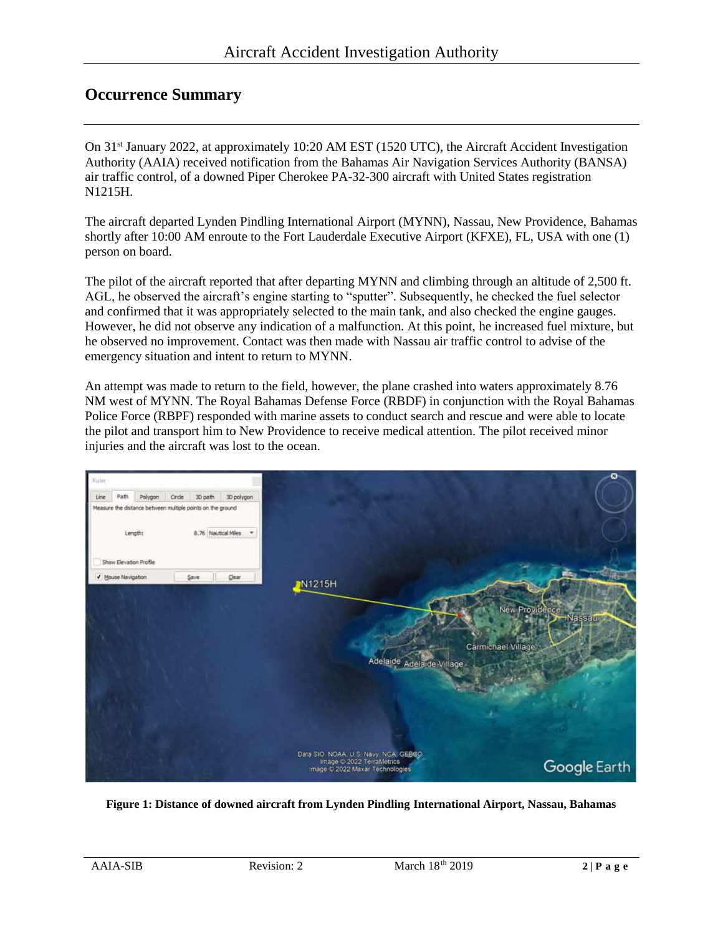#### **Occurrence Summary**

On 31st January 2022, at approximately 10:20 AM EST (1520 UTC), the Aircraft Accident Investigation Authority (AAIA) received notification from the Bahamas Air Navigation Services Authority (BANSA) air traffic control, of a downed Piper Cherokee PA-32-300 aircraft with United States registration N1215H.

The aircraft departed Lynden Pindling International Airport (MYNN), Nassau, New Providence, Bahamas shortly after 10:00 AM enroute to the Fort Lauderdale Executive Airport (KFXE), FL, USA with one (1) person on board.

The pilot of the aircraft reported that after departing MYNN and climbing through an altitude of 2,500 ft. AGL, he observed the aircraft's engine starting to "sputter". Subsequently, he checked the fuel selector and confirmed that it was appropriately selected to the main tank, and also checked the engine gauges. However, he did not observe any indication of a malfunction. At this point, he increased fuel mixture, but he observed no improvement. Contact was then made with Nassau air traffic control to advise of the emergency situation and intent to return to MYNN.

An attempt was made to return to the field, however, the plane crashed into waters approximately 8.76 NM west of MYNN. The Royal Bahamas Defense Force (RBDF) in conjunction with the Royal Bahamas Police Force (RBPF) responded with marine assets to conduct search and rescue and were able to locate the pilot and transport him to New Providence to receive medical attention. The pilot received minor injuries and the aircraft was lost to the ocean.



**Figure 1: Distance of downed aircraft from Lynden Pindling International Airport, Nassau, Bahamas**